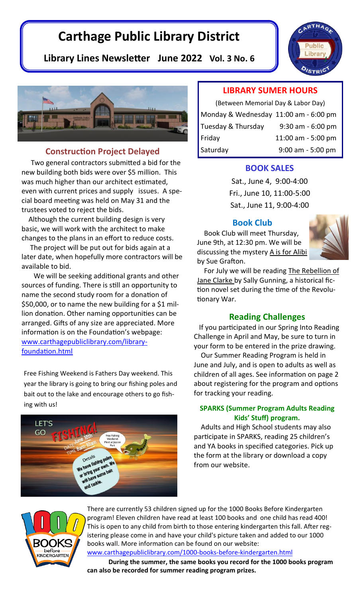# **Carthage Public Library District**

**Library Lines Newsletter June 2022 Vol. 3 No. 6**



## **Construction Project Delayed**

 Two general contractors submitted a bid for the new building both bids were over \$5 million. This was much higher than our architect estimated, even with current prices and supply issues. A special board meeting was held on May 31 and the trustees voted to reject the bids.

 Although the current building design is very basic, we will work with the architect to make changes to the plans in an effort to reduce costs.

 The project will be put out for bids again at a later date, when hopefully more contractors will be available to bid.

 We will be seeking additional grants and other sources of funding. There is still an opportunity to name the second study room for a donation of \$50,000, or to name the new building for a \$1 million donation. Other naming opportunities can be arranged. Gifts of any size are appreciated. More information is on the Foundation's webpage: [www.carthagepubliclibrary.com/library](http://www.carthagepubliclibrary.com/library-foundation.html)[foundation.html](http://www.carthagepubliclibrary.com/library-foundation.html)

Free Fishing Weekend is Fathers Day weekend. This year the library is going to bring our fishing poles and bait out to the lake and encourage others to go fishing with us!



## **LIBRARY SUMER HOURS**

| (Between Memorial Day & Labor Day)    |                     |  |  |  |
|---------------------------------------|---------------------|--|--|--|
| Monday & Wednesday 11:00 am - 6:00 pm |                     |  |  |  |
| Tuesday & Thursday                    | $9:30$ am - 6:00 pm |  |  |  |
| Friday                                | 11:00 am - 5:00 pm  |  |  |  |
| Saturday                              | $9:00$ am - 5:00 pm |  |  |  |

### **BOOK SALES**

Sat., June 4, 9:00-4:00 Fri., June 10, 11:00-5:00 Sat., June 11, 9:00-4:00

## **Book Club**

 Book Club will meet Thursday, June 9th, at 12:30 pm. We will be discussing the mystery A is for Alibi by Sue Grafton.



For July we will be reading The Rebellion of Jane Clarke by Sally Gunning, a historical fiction novel set during the time of the Revolutionary War.

## **Reading Challenges**

If you participated in our Spring Into Reading Challenge in April and May, be sure to turn in your form to be entered in the prize drawing.

 Our Summer Reading Program is held in June and July, and is open to adults as well as children of all ages. See information on page 2 about registering for the program and options for tracking your reading.

### **SPARKS (Summer Program Adults Reading Kids' Stuff) program.**

Adults and High School students may also participate in SPARKS, reading 25 children's and YA books in specified categories. Pick up the form at the library or download a copy from our website.



There are currently 53 children signed up for the 1000 Books Before Kindergarten program! Eleven children have read at least 100 books and one child has read 400! This is open to any child from birth to those entering kindergarten this fall. After registering please come in and have your child's picture taken and added to our 1000 books wall. More information can be found on our website:

[www.carthagepubliclibrary.com/1000](https://www.carthagepubliclibrary.com/1000-books-before-kindergarten.html)-books-before-kindergarten.html

**During the summer, the same books you record for the 1000 books program can also be recorded for summer reading program prizes.**